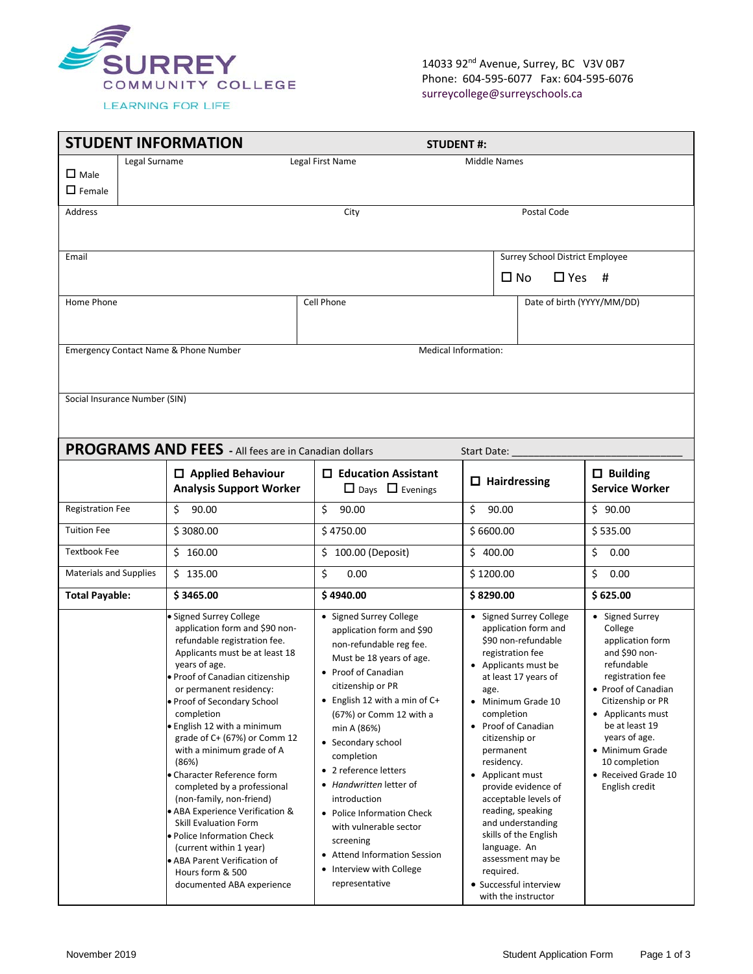

14033 92<sup>nd</sup> Avenue, Surrey, BC V3V 0B7 Phone: 604-595-6077 Fax: 604-595-6076 surreycollege@surreyschools.ca

|                                    | <b>STUDENT INFORMATION</b>                                                                                                                                                      |                                                                                                                                    | <b>STUDENT#:</b>                                                                                                                         |                                                                                                   |
|------------------------------------|---------------------------------------------------------------------------------------------------------------------------------------------------------------------------------|------------------------------------------------------------------------------------------------------------------------------------|------------------------------------------------------------------------------------------------------------------------------------------|---------------------------------------------------------------------------------------------------|
| $\square$ Male<br>$\square$ Female | Legal Surname                                                                                                                                                                   | Legal First Name                                                                                                                   | <b>Middle Names</b>                                                                                                                      |                                                                                                   |
| <b>Address</b>                     |                                                                                                                                                                                 | City                                                                                                                               | Postal Code                                                                                                                              |                                                                                                   |
| Email                              |                                                                                                                                                                                 |                                                                                                                                    | <b>Surrey School District Employee</b><br>$\square$ No<br>$\Box$ Yes                                                                     | #                                                                                                 |
| Home Phone                         |                                                                                                                                                                                 | Cell Phone                                                                                                                         | Date of birth (YYYY/MM/DD)                                                                                                               |                                                                                                   |
|                                    | Emergency Contact Name & Phone Number                                                                                                                                           |                                                                                                                                    | Medical Information:                                                                                                                     |                                                                                                   |
| Social Insurance Number (SIN)      |                                                                                                                                                                                 |                                                                                                                                    |                                                                                                                                          |                                                                                                   |
|                                    | <b>PROGRAMS AND FEES</b> - All fees are in Canadian dollars                                                                                                                     |                                                                                                                                    | Start Date:                                                                                                                              |                                                                                                   |
|                                    | $\Box$ Applied Behaviour<br><b>Analysis Support Worker</b>                                                                                                                      | $\Box$ Education Assistant<br>$\Box$ Days $\Box$ Evenings                                                                          | $\Box$ Hairdressing                                                                                                                      | $\Box$ Building<br><b>Service Worker</b>                                                          |
| <b>Registration Fee</b>            | 90.00<br>\$                                                                                                                                                                     | Ś<br>90.00                                                                                                                         | \$<br>90.00                                                                                                                              | \$90.00                                                                                           |
| <b>Tuition Fee</b>                 | \$3080.00                                                                                                                                                                       | \$4750.00                                                                                                                          | \$6600.00                                                                                                                                | \$535.00                                                                                          |
| <b>Textbook Fee</b>                | \$160.00                                                                                                                                                                        | \$100.00 (Deposit)                                                                                                                 | \$400.00<br>\$                                                                                                                           | 0.00                                                                                              |
| <b>Materials and Supplies</b>      | \$135.00                                                                                                                                                                        | \$<br>0.00                                                                                                                         | \$1200.00<br>Ś.                                                                                                                          | 0.00                                                                                              |
| <b>Total Payable:</b>              | \$3465.00                                                                                                                                                                       | \$4940.00                                                                                                                          | \$8290.00                                                                                                                                | \$625.00                                                                                          |
|                                    | · Signed Surrey College<br>application form and \$90 non-<br>refundable registration fee.<br>Applicants must be at least 18<br>years of age.<br>· Proof of Canadian citizenship | • Signed Surrey College<br>application form and \$90<br>non-refundable reg fee.<br>Must be 18 years of age.<br>• Proof of Canadian | • Signed Surrey College<br>application form and<br>\$90 non-refundable<br>registration fee<br>Applicants must be<br>at least 17 years of | • Signed Surrey<br>College<br>application form<br>and \$90 non-<br>refundable<br>registration fee |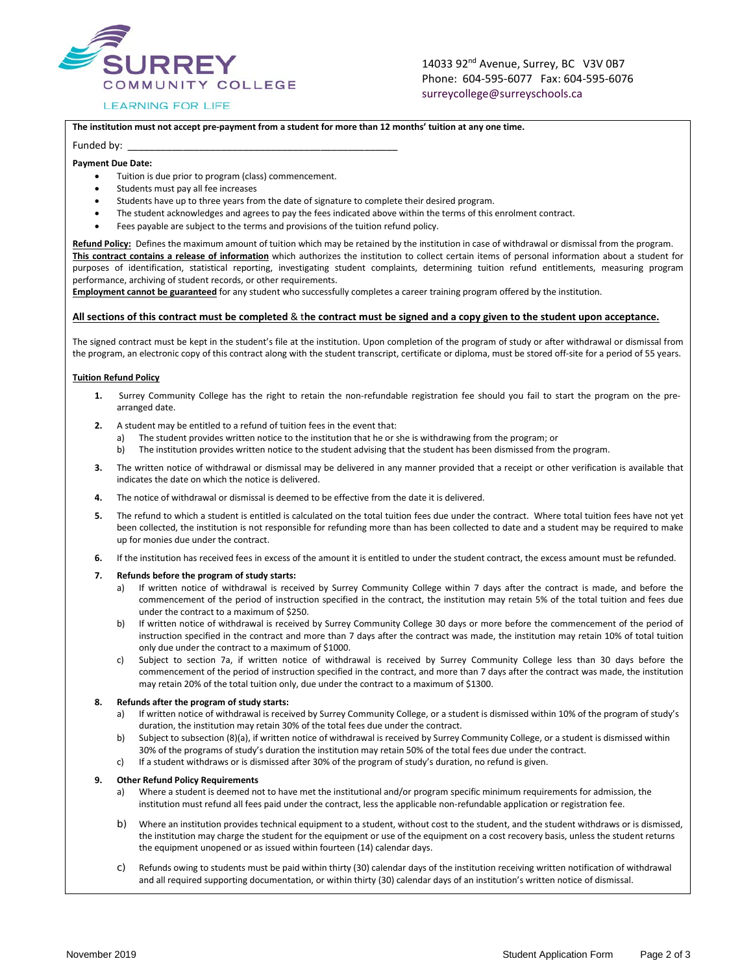

### **LEARNING FOR LIFE**

14033 92<sup>nd</sup> Avenue, Surrey, BC V3V 0B7 Phone: 604-595-6077 Fax: 604-595-6076 surreycollege@surreyschools.ca

#### **The institution must not accept pre-payment from a student for more than 12 months' tuition at any one time.**

#### Funded by:

#### **Payment Due Date:**

- Tuition is due prior to program (class) commencement.
- Students must pay all fee increases
- Students have up to three years from the date of signature to complete their desired program.
- The student acknowledges and agrees to pay the fees indicated above within the terms of this enrolment contract.
- Fees payable are subject to the terms and provisions of the tuition refund policy.

**Refund Policy:** Defines the maximum amount of tuition which may be retained by the institution in case of withdrawal or dismissal from the program. **This contract contains a release of information** which authorizes the institution to collect certain items of personal information about a student for purposes of identification, statistical reporting, investigating student complaints, determining tuition refund entitlements, measuring program performance, archiving of student records, or other requirements.

**Employment cannot be guaranteed** for any student who successfully completes a career training program offered by the institution.

#### **All sections of this contract must be completed** & t**he contract must be signed and a copy given to the student upon acceptance.**

The signed contract must be kept in the student's file at the institution. Upon completion of the program of study or after withdrawal or dismissal from the program, an electronic copy of this contract along with the student transcript, certificate or diploma, must be stored off-site for a period of 55 years.

#### **Tuition Refund Policy**

- **1.** Surrey Community College has the right to retain the non-refundable registration fee should you fail to start the program on the prearranged date.
- **2.** A student may be entitled to a refund of tuition fees in the event that:
	- a) The student provides written notice to the institution that he or she is withdrawing from the program; or
	- b) The institution provides written notice to the student advising that the student has been dismissed from the program.
- **3.** The written notice of withdrawal or dismissal may be delivered in any manner provided that a receipt or other verification is available that indicates the date on which the notice is delivered.
- **4.** The notice of withdrawal or dismissal is deemed to be effective from the date it is delivered.
- **5.** The refund to which a student is entitled is calculated on the total tuition fees due under the contract. Where total tuition fees have not yet been collected, the institution is not responsible for refunding more than has been collected to date and a student may be required to make up for monies due under the contract.
- **6.** If the institution has received fees in excess of the amount it is entitled to under the student contract, the excess amount must be refunded.
- **7. Refunds before the program of study starts:**
	- a) If written notice of withdrawal is received by Surrey Community College within 7 days after the contract is made, and before the commencement of the period of instruction specified in the contract, the institution may retain 5% of the total tuition and fees due under the contract to a maximum of \$250.
	- b) If written notice of withdrawal is received by Surrey Community College 30 days or more before the commencement of the period of instruction specified in the contract and more than 7 days after the contract was made, the institution may retain 10% of total tuition only due under the contract to a maximum of \$1000.
	- c) Subject to section 7a, if written notice of withdrawal is received by Surrey Community College less than 30 days before the commencement of the period of instruction specified in the contract, and more than 7 days after the contract was made, the institution may retain 20% of the total tuition only, due under the contract to a maximum of \$1300.

#### **8. Refunds after the program of study starts:**

- a) If written notice of withdrawal is received by Surrey Community College, or a student is dismissed within 10% of the program of study's duration, the institution may retain 30% of the total fees due under the contract.
- b) Subject to subsection (8)(a), if written notice of withdrawal is received by Surrey Community College, or a student is dismissed within 30% of the programs of study's duration the institution may retain 50% of the total fees due under the contract.
- c) If a student withdraws or is dismissed after 30% of the program of study's duration, no refund is given.

#### **9. Other Refund Policy Requirements**

- a) Where a student is deemed not to have met the institutional and/or program specific minimum requirements for admission, the institution must refund all fees paid under the contract, less the applicable non-refundable application or registration fee.
- b) Where an institution provides technical equipment to a student, without cost to the student, and the student withdraws or is dismissed, the institution may charge the student for the equipment or use of the equipment on a cost recovery basis, unless the student returns the equipment unopened or as issued within fourteen (14) calendar days.
- c) Refunds owing to students must be paid within thirty (30) calendar days of the institution receiving written notification of withdrawal and all required supporting documentation, or within thirty (30) calendar days of an institution's written notice of dismissal.